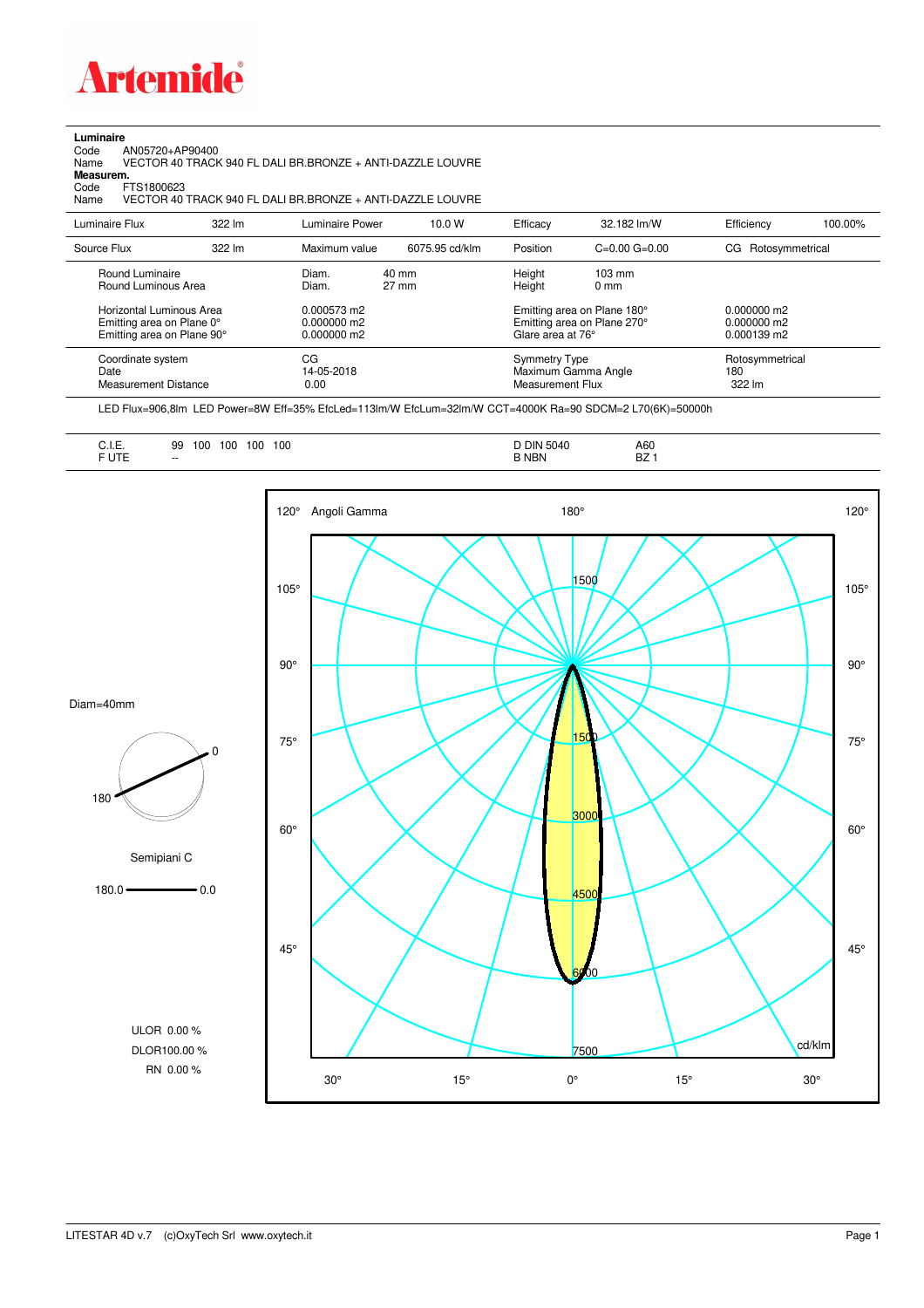

## **Luminaire**

Code AN05720+AP90400 Name VECTOR 40 TRACK 940 FL DALI BR.BRONZE + ANTI-DAZZLE LOUVRE Code A<br>Name V<br>**Measurem.** 

Code FTS1800623<br>Name VECTOR 40 Name VECTOR 40 TRACK 940 FL DALI BR.BRONZE + ANTI-DAZZLE LOUVRE

| Luminaire Flux                                                                                                                | $322 \, \text{Im}$ | Luminaire Power                                                   | 10.0 W                   | Efficacy                                 | 32.182 lm/W                                                                                                                               | Efficiency                       | 100.00% |
|-------------------------------------------------------------------------------------------------------------------------------|--------------------|-------------------------------------------------------------------|--------------------------|------------------------------------------|-------------------------------------------------------------------------------------------------------------------------------------------|----------------------------------|---------|
| Source Flux                                                                                                                   | 322 lm             | Maximum value                                                     | 6075.95 cd/klm           | Position                                 | $C=0.00$ $G=0.00$                                                                                                                         | Rotosymmetrical<br>CG.           |         |
| Round Luminaire<br>Round Luminous Area<br>Horizontal Luminous Area<br>Emitting area on Plane 0°<br>Emitting area on Plane 90° |                    | Diam.<br>Diam.<br>$0.000573$ m2<br>$0.000000$ m2<br>$0.000000$ m2 | 40 mm<br>$27 \text{ mm}$ |                                          | Height<br>$103 \text{ mm}$<br>Height<br>$0 \text{ mm}$<br>Emitting area on Plane 180°<br>Emitting area on Plane 270°<br>Glare area at 76° |                                  |         |
| Coordinate system<br>Date<br>Measurement Distance                                                                             |                    | CG<br>14-05-2018<br>0.00                                          |                          | <b>Symmetry Type</b><br>Measurement Flux | Maximum Gamma Angle                                                                                                                       | Rotosymmetrical<br>180<br>322 lm |         |

LED Flux=906,8lm LED Power=8W Eff=35% EfcLed=113lm/W EfcLum=32lm/W CCT=4000K Ra=90 SDCM=2 L70(6K)=50000h